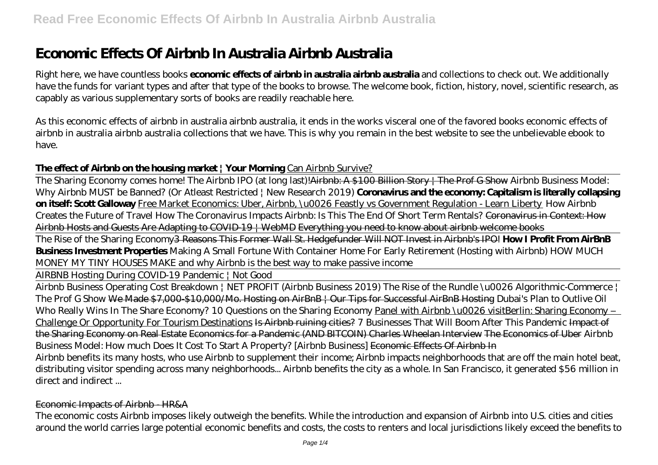# **Economic Effects Of Airbnb In Australia Airbnb Australia**

Right here, we have countless books **economic effects of airbnb in australia airbnb australia** and collections to check out. We additionally have the funds for variant types and after that type of the books to browse. The welcome book, fiction, history, novel, scientific research, as capably as various supplementary sorts of books are readily reachable here.

As this economic effects of airbnb in australia airbnb australia, it ends in the works visceral one of the favored books economic effects of airbnb in australia airbnb australia collections that we have. This is why you remain in the best website to see the unbelievable ebook to have.

### **The effect of Airbnb on the housing market | Your Morning** Can Airbnb Survive?

The Sharing Economy comes home! The Airbnb IPO (at long last)!<del>Airbnb: A \$100 Billion Story | The Prof G Show</del> Airbnb Business Model: Why Airbnb MUST be Banned? (Or Atleast Restricted | New Research 2019) **Coronavirus and the economy: Capitalism is literally collapsing on itself: Scott Galloway** Free Market Economics: Uber, Airbnb, \u0026 Feastly vs Government Regulation - Learn Liberty *How Airbnb Creates the Future of Travel How The Coronavirus Impacts Airbnb: Is This The End Of Short Term Rentals?* Coronavirus in Context: How Airbnb Hosts and Guests Are Adapting to COVID-19 | WebMD Everything you need to know about airbnb welcome books

The Rise of the Sharing Economy3 Reasons This Former Wall St. Hedgefunder Will NOT Invest in Airbnb's IPO! **How I Profit From AirBnB Business Investment Properties** *Making A Small Fortune With Container Home For Early Retirement (Hosting with Airbnb) HOW MUCH MONEY MY TINY HOUSES MAKE and why Airbnb is the best way to make passive income*

AIRBNB Hosting During COVID-19 Pandemic | Not Good

Airbnb Business Operating Cost Breakdown | NET PROFIT (Airbnb Business 2019) The Rise of the Rundle \u0026 Algorithmic-Commerce | The Prof G Show We Made \$7,000-\$10,000/Mo. Hosting on AirBnB | Our Tips for Successful AirBnB Hosting Dubai's Plan to Outlive Oil Who Really Wins In The Share Economy? *10 Questions on the Sharing Economy* Panel with Airbnb \u0026 visitBerlin: Sharing Economy – Challenge Or Opportunity For Tourism Destinations Is Airbnb ruining cities? *7 Businesses That Will Boom After This Pandemic* Impact of the Sharing Economy on Real Estate Economics for a Pandemic (AND BITCOIN) Charles Wheelan Interview The Economics of Uber *Airbnb Business Model: How much Does It Cost To Start A Property? [Airbnb Business]* Economic Effects Of Airbnb In Airbnb benefits its many hosts, who use Airbnb to supplement their income; Airbnb impacts neighborhoods that are off the main hotel beat, distributing visitor spending across many neighborhoods... Airbnb benefits the city as a whole. In San Francisco, it generated \$56 million in

direct and indirect ...

#### Economic Impacts of Airbnb - HR&A

The economic costs Airbnb imposes likely outweigh the benefits. While the introduction and expansion of Airbnb into U.S. cities and cities around the world carries large potential economic benefits and costs, the costs to renters and local jurisdictions likely exceed the benefits to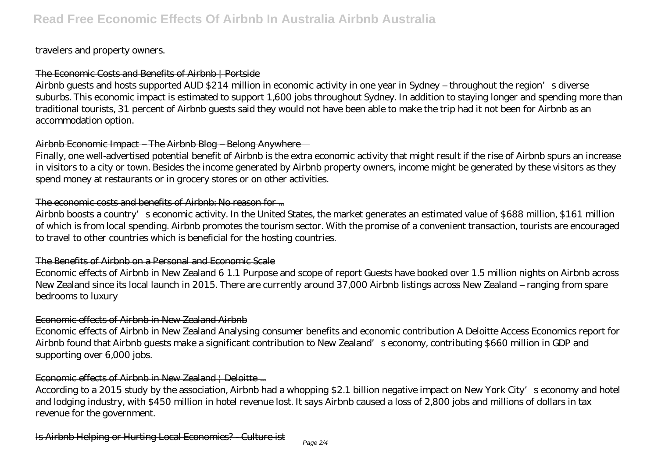#### travelers and property owners.

### The Economic Costs and Benefits of Airbnb | Portside

Airbnb guests and hosts supported AUD \$214 million in economic activity in one year in Sydney – throughout the region's diverse suburbs. This economic impact is estimated to support 1,600 jobs throughout Sydney. In addition to staying longer and spending more than traditional tourists, 31 percent of Airbnb guests said they would not have been able to make the trip had it not been for Airbnb as an accommodation option.

### Airbnb Economic Impact – The Airbnb Blog – Belong Anywhere

Finally, one well-advertised potential benefit of Airbnb is the extra economic activity that might result if the rise of Airbnb spurs an increase in visitors to a city or town. Besides the income generated by Airbnb property owners, income might be generated by these visitors as they spend money at restaurants or in grocery stores or on other activities.

#### The economic costs and benefits of Airbnb: No reason for ...

Airbnb boosts a country's economic activity. In the United States, the market generates an estimated value of \$688 million, \$161 million of which is from local spending. Airbnb promotes the tourism sector. With the promise of a convenient transaction, tourists are encouraged to travel to other countries which is beneficial for the hosting countries.

#### The Benefits of Airbnb on a Personal and Economic Scale

Economic effects of Airbnb in New Zealand 6 1.1 Purpose and scope of report Guests have booked over 1.5 million nights on Airbnb across New Zealand since its local launch in 2015. There are currently around 37,000 Airbnb listings across New Zealand – ranging from spare bedrooms to luxury

### Economic effects of Airbnb in New Zealand Airbnb

Economic effects of Airbnb in New Zealand Analysing consumer benefits and economic contribution A Deloitte Access Economics report for Airbnb found that Airbnb guests make a significant contribution to New Zealand's economy, contributing \$660 million in GDP and supporting over 6,000 jobs.

### Economic effects of Airbnb in New Zealand | Deloitte ...

According to a 2015 study by the association, Airbnb had a whopping \$2.1 billion negative impact on New York City's economy and hotel and lodging industry, with \$450 million in hotel revenue lost. It says Airbnb caused a loss of 2,800 jobs and millions of dollars in tax revenue for the government.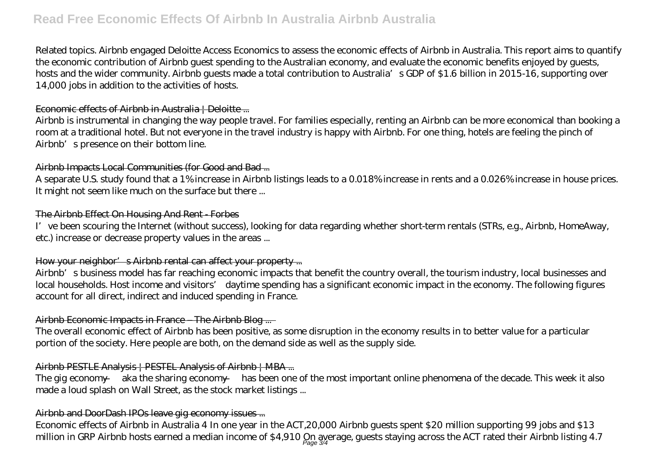# **Read Free Economic Effects Of Airbnb In Australia Airbnb Australia**

Related topics. Airbnb engaged Deloitte Access Economics to assess the economic effects of Airbnb in Australia. This report aims to quantify the economic contribution of Airbnb guest spending to the Australian economy, and evaluate the economic benefits enjoyed by guests, hosts and the wider community. Airbnb guests made a total contribution to Australia's GDP of \$1.6 billion in 2015-16, supporting over 14,000 jobs in addition to the activities of hosts.

#### Economic effects of Airbnb in Australia | Deloitte ...

Airbnb is instrumental in changing the way people travel. For families especially, renting an Airbnb can be more economical than booking a room at a traditional hotel. But not everyone in the travel industry is happy with Airbnb. For one thing, hotels are feeling the pinch of Airbnb's presence on their bottom line.

#### Airbnb Impacts Local Communities (for Good and Bad...

A separate U.S. study found that a 1% increase in Airbnb listings leads to a 0.018% increase in rents and a 0.026% increase in house prices. It might not seem like much on the surface but there ...

#### The Airbnb Effect On Housing And Rent - Forbes

I've been scouring the Internet (without success), looking for data regarding whether short-term rentals (STRs, e.g., Airbnb, HomeAway, etc.) increase or decrease property values in the areas ...

#### How your neighbor's Airbnb rental can affect your property ...

Airbnb's business model has far reaching economic impacts that benefit the country overall, the tourism industry, local businesses and local households. Host income and visitors' daytime spending has a significant economic impact in the economy. The following figures account for all direct, indirect and induced spending in France.

## Airbnb Economic Impacts in France – The Airbnb Blog ...

The overall economic effect of Airbnb has been positive, as some disruption in the economy results in to better value for a particular portion of the society. Here people are both, on the demand side as well as the supply side.

### Airbnb PESTLE Analysis | PESTEL Analysis of Airbnb | MBA ...

The gig economy — aka the sharing economy — has been one of the most important online phenomena of the decade. This week it also made a loud splash on Wall Street, as the stock market listings ...

### Airbnb and DoorDash IPOs leave gig economy issues ...

Economic effects of Airbnb in Australia 4 In one year in the ACT,20,000 Airbnb guests spent \$20 million supporting 99 jobs and \$13 million in GRP Airbnb hosts earned a median income of \$4,910  $\rm Qn_{age}$  gyerage, guests staying across the ACT rated their Airbnb listing 4.7